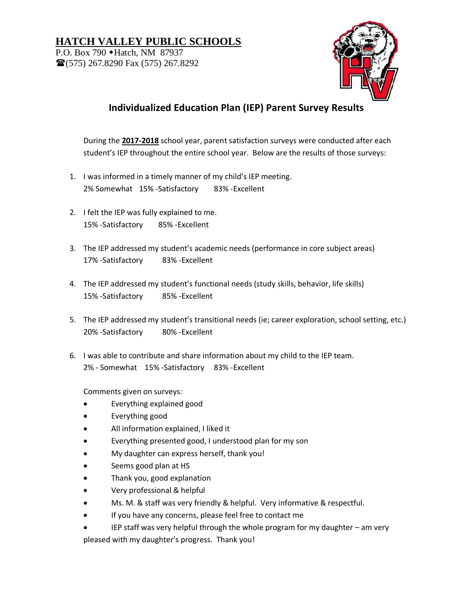## **HATCH VALLEY PUBLIC SCHOOLS**

P.O. Box 790 • Hatch, NM 87937 (575) 267.8290 Fax (575) 267.8292



## **Individualized Education Plan (IEP) Parent Survey Results**

During the **2017-2018** school year, parent satisfaction surveys were conducted after each student's IEP throughout the entire school year. Below are the results of those surveys:

- 1. I was informed in a timely manner of my child's IEP meeting. 2% Somewhat 15% -Satisfactory 83% -Excellent
- 2. I felt the IEP was fully explained to me. 15% -Satisfactory 85% -Excellent
- 3. The IEP addressed my student's academic needs (performance in core subject areas) 17% -Satisfactory 83% -Excellent
- 4. The IEP addressed my student's functional needs (study skills, behavior, life skills) 15% -Satisfactory 85% -Excellent
- 5. The IEP addressed my student's transitional needs (ie; career exploration, school setting, etc.) 20% -Satisfactory 80% -Excellent
- 6. I was able to contribute and share information about my child to the IEP team. 2% - Somewhat 15% -Satisfactory 83% -Excellent

Comments given on surveys:

- Everything explained good
- Everything good
- All information explained, I liked it
- Everything presented good, I understood plan for my son
- My daughter can express herself, thank you!
- Seems good plan at HS
- Thank you, good explanation
- Very professional & helpful
- Ms. M. & staff was very friendly & helpful. Very informative & respectful.
- If you have any concerns, please feel free to contact me
- IEP staff was very helpful through the whole program for my daughter am very pleased with my daughter's progress. Thank you!